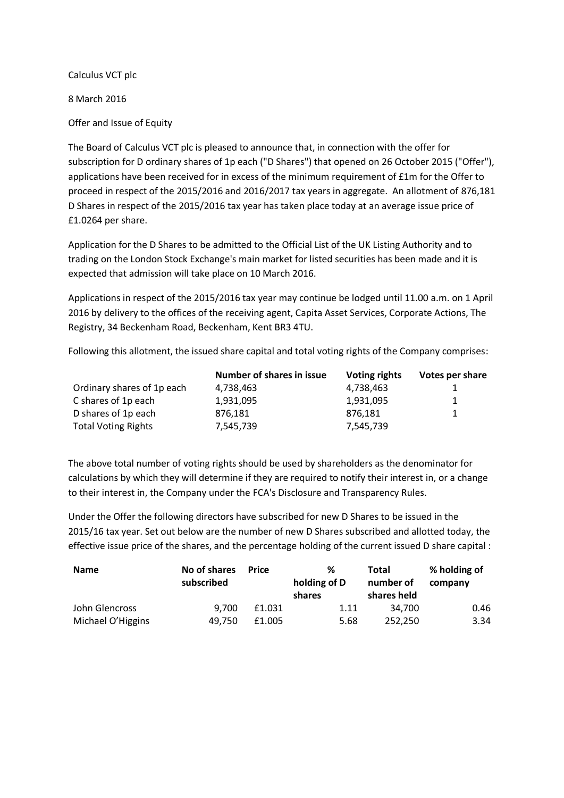Calculus VCT plc

8 March 2016

Offer and Issue of Equity

The Board of Calculus VCT plc is pleased to announce that, in connection with the offer for subscription for D ordinary shares of 1p each ("D Shares") that opened on 26 October 2015 ("Offer"), applications have been received for in excess of the minimum requirement of £1m for the Offer to proceed in respect of the 2015/2016 and 2016/2017 tax years in aggregate. An allotment of 876,181 D Shares in respect of the 2015/2016 tax year has taken place today at an average issue price of £1.0264 per share.

Application for the D Shares to be admitted to the Official List of the UK Listing Authority and to trading on the London Stock Exchange's main market for listed securities has been made and it is expected that admission will take place on 10 March 2016.

Applications in respect of the 2015/2016 tax year may continue be lodged until 11.00 a.m. on 1 April 2016 by delivery to the offices of the receiving agent, Capita Asset Services, Corporate Actions, The Registry, 34 Beckenham Road, Beckenham, Kent BR3 4TU.

Following this allotment, the issued share capital and total voting rights of the Company comprises:

|                            | <b>Number of shares in issue</b> | <b>Voting rights</b> | Votes per share |
|----------------------------|----------------------------------|----------------------|-----------------|
| Ordinary shares of 1p each | 4,738,463                        | 4,738,463            |                 |
| C shares of 1p each        | 1,931,095                        | 1,931,095            | 1.              |
| D shares of 1p each        | 876,181                          | 876.181              |                 |
| <b>Total Voting Rights</b> | 7,545,739                        | 7.545.739            |                 |

The above total number of voting rights should be used by shareholders as the denominator for calculations by which they will determine if they are required to notify their interest in, or a change to their interest in, the Company under the FCA's Disclosure and Transparency Rules.

Under the Offer the following directors have subscribed for new D Shares to be issued in the 2015/16 tax year. Set out below are the number of new D Shares subscribed and allotted today, the effective issue price of the shares, and the percentage holding of the current issued D share capital :

| <b>Name</b>       | No of shares | Price  | %            | Total       | % holding of |
|-------------------|--------------|--------|--------------|-------------|--------------|
|                   | subscribed   |        | holding of D | number of   | company      |
|                   |              |        | shares       | shares held |              |
| John Glencross    | 9.700        | £1.031 | 1.11         | 34.700      | 0.46         |
| Michael O'Higgins | 49.750       | £1.005 | 5.68         | 252.250     | 3.34         |